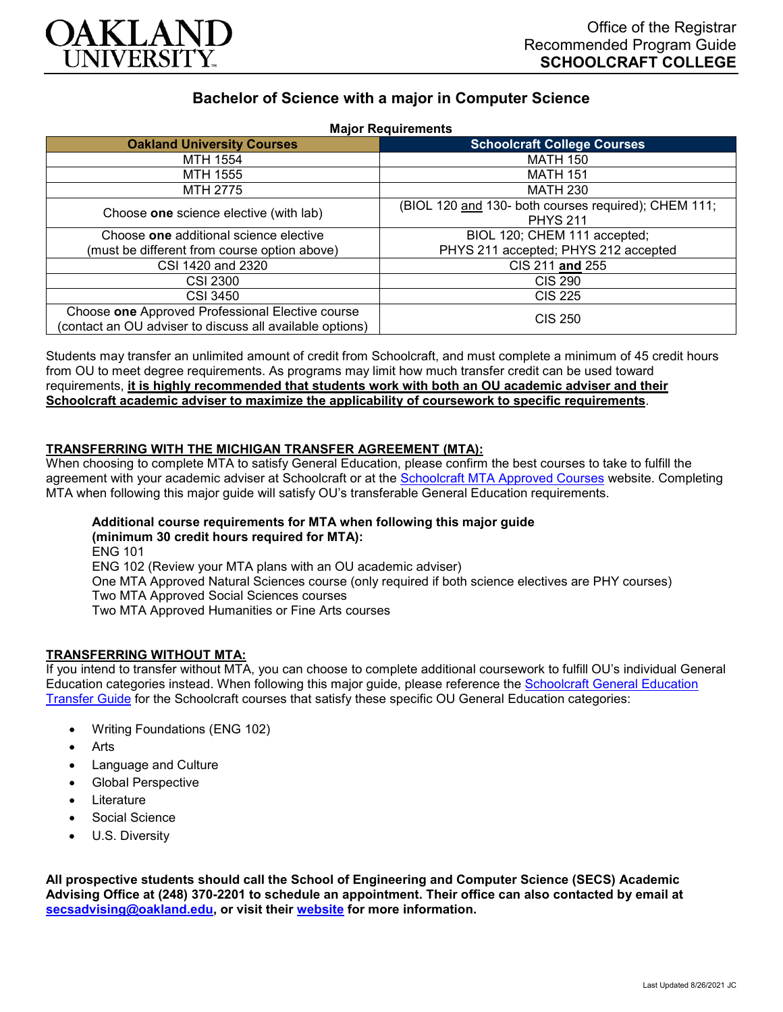

# **Bachelor of Science with a major in Computer Science**

| <b>Major Requirements</b>                                                                                    |                                                                         |
|--------------------------------------------------------------------------------------------------------------|-------------------------------------------------------------------------|
| <b>Oakland University Courses</b>                                                                            | <b>Schoolcraft College Courses</b>                                      |
| MTH 1554                                                                                                     | <b>MATH 150</b>                                                         |
| MTH 1555                                                                                                     | <b>MATH 151</b>                                                         |
| MTH 2775                                                                                                     | MATH 230                                                                |
| Choose one science elective (with lab)                                                                       | (BIOL 120 and 130- both courses required); CHEM 111;<br><b>PHYS 211</b> |
| Choose one additional science elective                                                                       | BIOL 120; CHEM 111 accepted;                                            |
| (must be different from course option above)                                                                 | PHYS 211 accepted; PHYS 212 accepted                                    |
| CSI 1420 and 2320                                                                                            | CIS 211 and 255                                                         |
| <b>CSI 2300</b>                                                                                              | <b>CIS 290</b>                                                          |
| <b>CSI 3450</b>                                                                                              | <b>CIS 225</b>                                                          |
| Choose one Approved Professional Elective course<br>(contact an OU adviser to discuss all available options) | CIS 250                                                                 |

Students may transfer an unlimited amount of credit from Schoolcraft, and must complete a minimum of 45 credit hours from OU to meet degree requirements. As programs may limit how much transfer credit can be used toward requirements, **it is highly recommended that students work with both an OU academic adviser and their Schoolcraft academic adviser to maximize the applicability of coursework to specific requirements**.

## **TRANSFERRING WITH THE MICHIGAN TRANSFER AGREEMENT (MTA):**

When choosing to complete MTA to satisfy General Education, please confirm the best courses to take to fulfill the agreement with your academic adviser at Schoolcraft or at the [Schoolcraft MTA Approved Courses](https://www.schoolcraft.edu/academics/michigan-transfer-agreement) website. Completing MTA when following this major guide will satisfy OU's transferable General Education requirements.

## **Additional course requirements for MTA when following this major guide (minimum 30 credit hours required for MTA):**

ENG 101 ENG 102 (Review your MTA plans with an OU academic adviser) One MTA Approved Natural Sciences course (only required if both science electives are PHY courses) Two MTA Approved Social Sciences courses Two MTA Approved Humanities or Fine Arts courses

#### **TRANSFERRING WITHOUT MTA:**

If you intend to transfer without MTA, you can choose to complete additional coursework to fulfill OU's individual General Education categories instead. When following this major guide, please reference the [Schoolcraft General Education](https://www.oakland.edu/Assets/Oakland/program-guides/schoolcraft-college/university-general-education-requirements/Schoolcraft%20Gen%20Ed.pdf)  [Transfer Guide](https://www.oakland.edu/Assets/Oakland/program-guides/schoolcraft-college/university-general-education-requirements/Schoolcraft%20Gen%20Ed.pdf) for the Schoolcraft courses that satisfy these specific OU General Education categories:

- Writing Foundations (ENG 102)
- **Arts**
- Language and Culture
- Global Perspective
- **Literature**
- Social Science
- U.S. Diversity

**All prospective students should call the School of Engineering and Computer Science (SECS) Academic Advising Office at (248) 370-2201 to schedule an appointment. Their office can also contacted by email at [secsadvising@oakland.edu,](mailto:secsadvising@oakland.edu) or visit their [website](https://wwwp.oakland.edu/secs/advising/) for more information.**